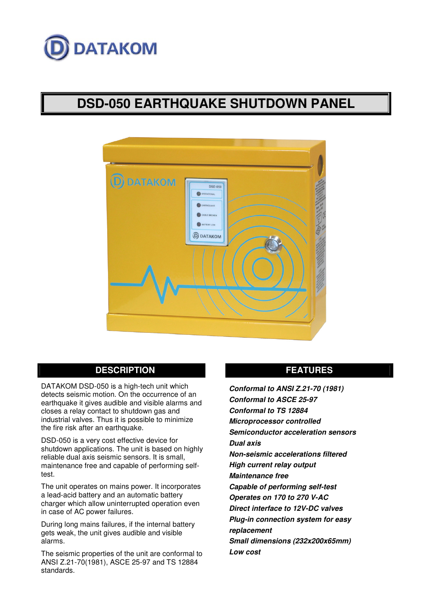

# **DSD-050 EARTHQUAKE SHUTDOWN PANEL**



# **DESCRIPTION**

DATAKOM DSD-050 is a high-tech unit which detects seismic motion. On the occurrence of an earthquake it gives audible and visible alarms and closes a relay contact to shutdown gas and industrial valves. Thus it is possible to minimize the fire risk after an earthquake.

DSD-050 is a very cost effective device for shutdown applications. The unit is based on highly reliable dual axis seismic sensors. It is small, maintenance free and capable of performing selftest.

The unit operates on mains power. It incorporates a lead-acid battery and an automatic battery charger which allow uninterrupted operation even in case of AC power failures.

During long mains failures, if the internal battery gets weak, the unit gives audible and visible alarms.

The seismic properties of the unit are conformal to ANSI Z.21-70(1981), ASCE 25-97 and TS 12884 standards.

# **FEATURES**

*Conformal to ANSI Z.21-70 (1981) Conformal to ASCE 25-97 Conformal to TS 12884 Microprocessor controlled Semiconductor acceleration sensors Dual axis Non-seismic accelerations filtered High current relay output Maintenance free Capable of performing self-test Operates on 170 to 270 V-AC Direct interface to 12V-DC valves Plug-in connection system for easy replacement Small dimensions (232x200x65mm) Low cost*